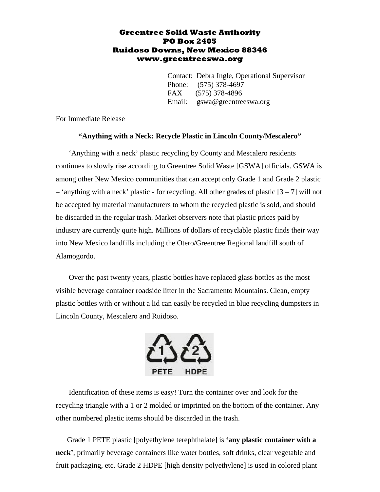## **Greentree Solid Waste Authority PO Box 2405 Ruidoso Downs, New Mexico 88346 www.greentreeswa.org**

Contact: Debra Ingle, Operational Supervisor Phone: (575) 378-4697 FAX (575) 378-4896 Email: gswa@greentreeswa.org

For Immediate Release

## **"Anything with a Neck: Recycle Plastic in Lincoln County/Mescalero"**

'Anything with a neck' plastic recycling by County and Mescalero residents continues to slowly rise according to Greentree Solid Waste [GSWA] officials. GSWA is among other New Mexico communities that can accept only Grade 1 and Grade 2 plastic  $-$  'anything with a neck' plastic - for recycling. All other grades of plastic  $[3 - 7]$  will not be accepted by material manufacturers to whom the recycled plastic is sold, and should be discarded in the regular trash. Market observers note that plastic prices paid by industry are currently quite high. Millions of dollars of recyclable plastic finds their way into New Mexico landfills including the Otero/Greentree Regional landfill south of Alamogordo.

Over the past twenty years, plastic bottles have replaced glass bottles as the most visible beverage container roadside litter in the Sacramento Mountains. Clean, empty plastic bottles with or without a lid can easily be recycled in blue recycling dumpsters in Lincoln County, Mescalero and Ruidoso.



Identification of these items is easy! Turn the container over and look for the recycling triangle with a 1 or 2 molded or imprinted on the bottom of the container. Any other numbered plastic items should be discarded in the trash.

Grade 1 PETE plastic [polyethylene terephthalate] is **'any plastic container with a neck'**, primarily beverage containers like water bottles, soft drinks, clear vegetable and fruit packaging, etc. Grade 2 HDPE [high density polyethylene] is used in colored plant